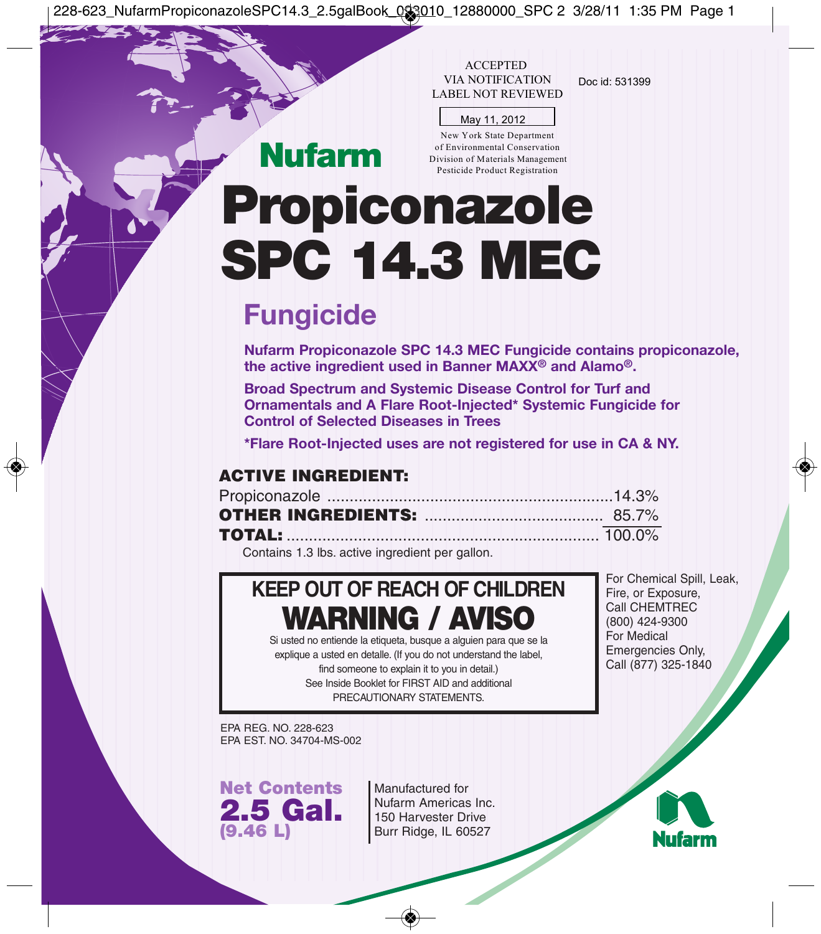228-623\_NufarmPropiconazoleSPC14.3\_2.5galBook\_093010\_12880000\_SPC 2 3/28/11 1:35 PM Page 1

ACCEPTED<br>VIA NOTIFICATION Doc id: 531399 LABEL NOT REVIEWED

|  | May 11, 2012 |  |
|--|--------------|--|

New York State Department of Environmental Conservation Division of Materials Management Pesticide Product Registration

# **Propiconazole SPC 14.3 MEC**

# **Fungicide**

**Nufarm**

**Nufarm Propiconazole SPC 14.3 MEC Fungicide contains propiconazole, the active ingredient used in Banner MAXX® and Alamo®.**

**Broad Spectrum and Systemic Disease Control for Turf and Ornamentals and A Flare Root-Injected\* Systemic Fungicide for Control of Selected Diseases in Trees**

**\*Flare Root-Injected uses are not registered for use in CA & NY.**

# **ACTIVE INGREDIENT:**

Contains 1.3 lbs. active ingredient per gallon.

# **KEEP OUT OF REACH OF CHILDREN WARNING / AVISO**

Si usted no entiende la etiqueta, busque a alguien para que se la explique a usted en detalle. (If you do not understand the label,

find someone to explain it to you in detail.) See Inside Booklet for FIRST AID and additional PRECAUTIONARY STATEMENTS.

For Chemical Spill, Leak, Fire, or Exposure, Call CHEMTREC (800) 424-9300 For Medical Emergencies Only, Call (877) 325-1840

EPA REG. NO. 228-623 EPA EST. NO. 34704-MS-002

**Net Contents 2.5 Gal. (9.46 L)**

Manufactured for Nufarm Americas Inc. 150 Harvester Drive Burr Ridge, IL 60527

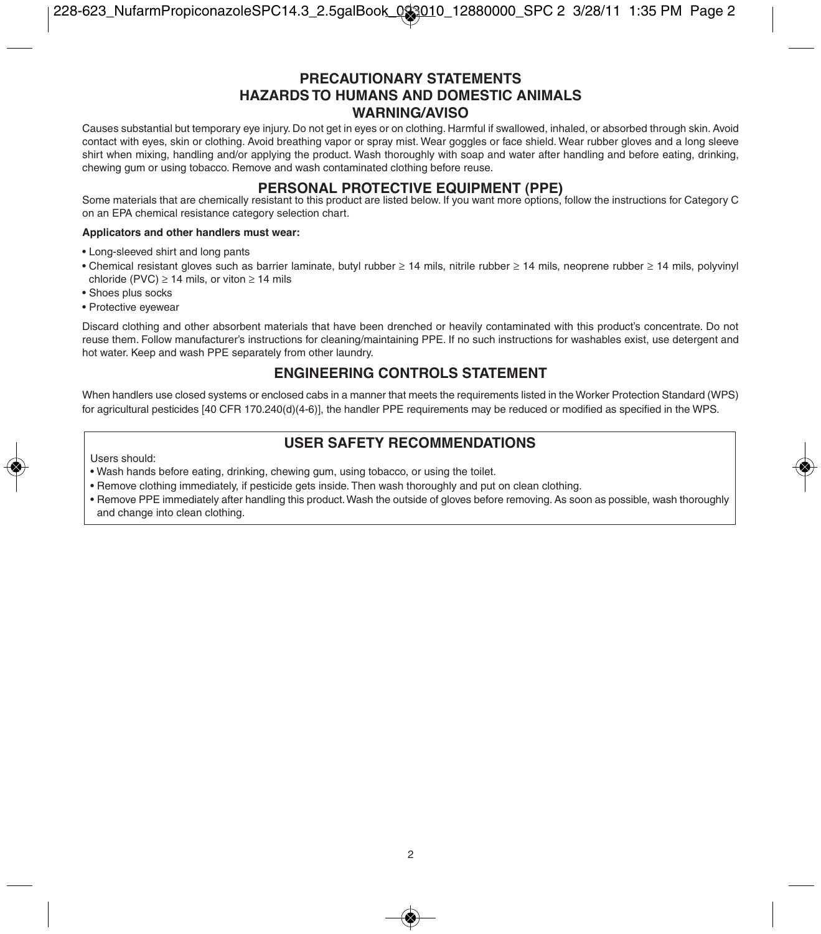# **PRECAUTIONARY STATEMENTS HAZARDS TO HUMANS AND DOMESTIC ANIMALS WARNING/AVISO**

Causes substantial but temporary eye injury. Do not get in eyes or on clothing. Harmful if swallowed, inhaled, or absorbed through skin. Avoid contact with eyes, skin or clothing. Avoid breathing vapor or spray mist. Wear goggles or face shield. Wear rubber gloves and a long sleeve shirt when mixing, handling and/or applying the product. Wash thoroughly with soap and water after handling and before eating, drinking, chewing gum or using tobacco. Remove and wash contaminated clothing before reuse.

**PERSONAL PROTECTIVE EQUIPMENT (PPE)**<br>Some materials that are chemically resistant to this product are listed below. If you want more options, follow the instructions for Category C on an EPA chemical resistance category selection chart.

#### **Applicators and other handlers must wear:**

- Long-sleeved shirt and long pants
- Chemical resistant gloves such as barrier laminate, butyl rubber ≥ 14 mils, nitrile rubber ≥ 14 mils, neoprene rubber ≥ 14 mils, polyvinyl chloride (PVC)  $\geq$  14 mils, or viton  $\geq$  14 mils
- Shoes plus socks
- Protective eyewear

Discard clothing and other absorbent materials that have been drenched or heavily contaminated with this product's concentrate. Do not reuse them. Follow manufacturer's instructions for cleaning/maintaining PPE. If no such instructions for washables exist, use detergent and hot water. Keep and wash PPE separately from other laundry.

# **ENGINEERING CONTROLS STATEMENT**

When handlers use closed systems or enclosed cabs in a manner that meets the requirements listed in the Worker Protection Standard (WPS) for agricultural pesticides [40 CFR 170.240(d)(4-6)], the handler PPE requirements may be reduced or modified as specified in the WPS.

# **USER SAFETY RECOMMENDATIONS**

Users should:

- Wash hands before eating, drinking, chewing gum, using tobacco, or using the toilet.
- Remove clothing immediately, if pesticide gets inside. Then wash thoroughly and put on clean clothing.
- Remove PPE immediately after handling this product. Wash the outside of gloves before removing. As soon as possible, wash thoroughly and change into clean clothing.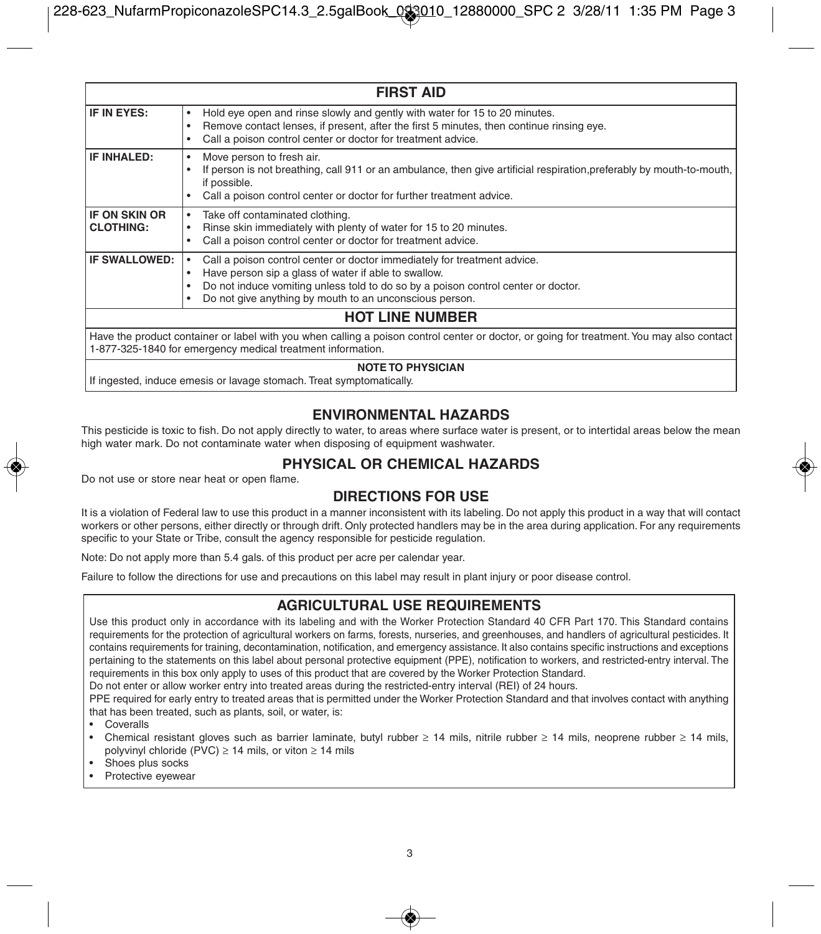| <b>FIRST AID</b>                                                                                                                                                                                         |                                                                                                                                                                                                                                                                                  |  |  |  |
|----------------------------------------------------------------------------------------------------------------------------------------------------------------------------------------------------------|----------------------------------------------------------------------------------------------------------------------------------------------------------------------------------------------------------------------------------------------------------------------------------|--|--|--|
| IF IN EYES:                                                                                                                                                                                              | Hold eye open and rinse slowly and gently with water for 15 to 20 minutes.<br>Remove contact lenses, if present, after the first 5 minutes, then continue rinsing eye.<br>Call a poison control center or doctor for treatment advice.                                           |  |  |  |
| IF INHALED:                                                                                                                                                                                              | Move person to fresh air.<br>If person is not breathing, call 911 or an ambulance, then give artificial respiration, preferably by mouth-to-mouth,<br>if possible.<br>Call a poison control center or doctor for further treatment advice.                                       |  |  |  |
| <b>IF ON SKIN OR</b><br><b>CLOTHING:</b>                                                                                                                                                                 | Take off contaminated clothing.<br>٠<br>Rinse skin immediately with plenty of water for 15 to 20 minutes.<br>Call a poison control center or doctor for treatment advice.                                                                                                        |  |  |  |
| IF SWALLOWED:                                                                                                                                                                                            | Call a poison control center or doctor immediately for treatment advice.<br>Have person sip a glass of water if able to swallow.<br>Do not induce vomiting unless told to do so by a poison control center or doctor.<br>Do not give anything by mouth to an unconscious person. |  |  |  |
| <b>HOT LINE NUMBER</b>                                                                                                                                                                                   |                                                                                                                                                                                                                                                                                  |  |  |  |
| Have the product container or label with you when calling a poison control center or doctor, or going for treatment. You may also contact<br>1-877-325-1840 for emergency medical treatment information. |                                                                                                                                                                                                                                                                                  |  |  |  |
| <b>NOTE TO PHYSICIAN</b>                                                                                                                                                                                 |                                                                                                                                                                                                                                                                                  |  |  |  |

If ingested, induce emesis or lavage stomach. Treat symptomatically.

# **ENVIRONMENTAL HAZARDS**

This pesticide is toxic to fish. Do not apply directly to water, to areas where surface water is present, or to intertidal areas below the mean high water mark. Do not contaminate water when disposing of equipment washwater.

### **PHYSICAL OR CHEMICAL HAZARDS**

Do not use or store near heat or open flame.

# **DIRECTIONS FOR USE**

It is a violation of Federal law to use this product in a manner inconsistent with its labeling. Do not apply this product in a way that will contact workers or other persons, either directly or through drift. Only protected handlers may be in the area during application. For any requirements specific to your State or Tribe, consult the agency responsible for pesticide regulation.

Note: Do not apply more than 5.4 gals. of this product per acre per calendar year.

Failure to follow the directions for use and precautions on this label may result in plant injury or poor disease control.

# **AGRICULTURAL USE REQUIREMENTS**

Use this product only in accordance with its labeling and with the Worker Protection Standard 40 CFR Part 170. This Standard contains requirements for the protection of agricultural workers on farms, forests, nurseries, and greenhouses, and handlers of agricultural pesticides. It contains requirements for training, decontamination, notification, and emergency assistance. It also contains specific instructions and exceptions pertaining to the statements on this label about personal protective equipment (PPE), notification to workers, and restricted-entry interval. The requirements in this box only apply to uses of this product that are covered by the Worker Protection Standard.

Do not enter or allow worker entry into treated areas during the restricted-entry interval (REI) of 24 hours.

PPE required for early entry to treated areas that is permitted under the Worker Protection Standard and that involves contact with anything that has been treated, such as plants, soil, or water, is:

- **Coveralls**
- Chemical resistant gloves such as barrier laminate, butyl rubber ≥ 14 mils, nitrile rubber ≥ 14 mils, neoprene rubber ≥ 14 mils, polyvinyl chloride (PVC)  $\geq$  14 mils, or viton  $\geq$  14 mils
- Shoes plus socks
- Protective eyewear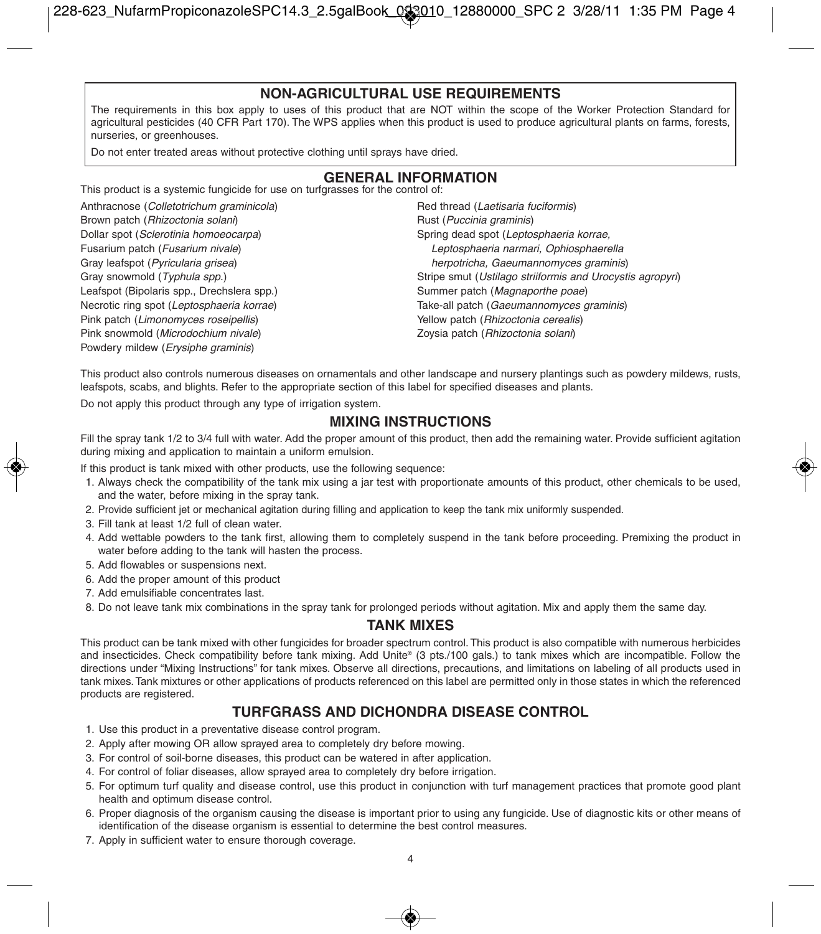# **NON-AGRICULTURAL USE REQUIREMENTS**

The requirements in this box apply to uses of this product that are NOT within the scope of the Worker Protection Standard for agricultural pesticides (40 CFR Part 170). The WPS applies when this product is used to produce agricultural plants on farms, forests, nurseries, or greenhouses.

Do not enter treated areas without protective clothing until sprays have dried.

# **GENERAL INFORMATION**

This product is a systemic fungicide for use on turfgrasses for the control of:

Anthracnose (Colletotrichum graminicola) Brown patch (Rhizoctonia solani) Dollar spot (Sclerotinia homoeocarpa) Fusarium patch (Fusarium nivale) Gray leafspot (Pyricularia grisea) Gray snowmold (Typhula spp.) Leafspot (Bipolaris spp., Drechslera spp.) Necrotic ring spot (Leptosphaeria korrae) Pink patch (Limonomyces roseipellis) Pink snowmold (Microdochium nivale) Powdery mildew (Erysiphe graminis)

Red thread (Laetisaria fuciformis) Rust (Puccinia graminis) Spring dead spot (Leptosphaeria korrae, Leptosphaeria narmari, Ophiosphaerella herpotricha, Gaeumannomyces graminis) Stripe smut (Ustilago striiformis and Urocystis agropyri) Summer patch (Magnaporthe poae) Take-all patch (Gaeumannomyces graminis) Yellow patch (Rhizoctonia cerealis) Zoysia patch (Rhizoctonia solani)

This product also controls numerous diseases on ornamentals and other landscape and nursery plantings such as powdery mildews, rusts, leafspots, scabs, and blights. Refer to the appropriate section of this label for specified diseases and plants.

Do not apply this product through any type of irrigation system.

# **MIXING INSTRUCTIONS**

Fill the spray tank 1/2 to 3/4 full with water. Add the proper amount of this product, then add the remaining water. Provide sufficient agitation during mixing and application to maintain a uniform emulsion.

If this product is tank mixed with other products, use the following sequence:

- 1. Always check the compatibility of the tank mix using a jar test with proportionate amounts of this product, other chemicals to be used, and the water, before mixing in the spray tank.
- 2. Provide sufficient jet or mechanical agitation during filling and application to keep the tank mix uniformly suspended.
- 3. Fill tank at least 1/2 full of clean water.
- 4. Add wettable powders to the tank first, allowing them to completely suspend in the tank before proceeding. Premixing the product in water before adding to the tank will hasten the process.
- 5. Add flowables or suspensions next.
- 6. Add the proper amount of this product
- 7. Add emulsifiable concentrates last.
- 8. Do not leave tank mix combinations in the spray tank for prolonged periods without agitation. Mix and apply them the same day.

## **TANK MIXES**

This product can be tank mixed with other fungicides for broader spectrum control. This product is also compatible with numerous herbicides and insecticides. Check compatibility before tank mixing. Add Unite® (3 pts./100 gals.) to tank mixes which are incompatible. Follow the directions under "Mixing Instructions" for tank mixes. Observe all directions, precautions, and limitations on labeling of all products used in tank mixes. Tank mixtures or other applications of products referenced on this label are permitted only in those states in which the referenced products are registered.

# **TURFGRASS AND DICHONDRA DISEASE CONTROL**

- 1. Use this product in a preventative disease control program.
- 2. Apply after mowing OR allow sprayed area to completely dry before mowing.
- 3. For control of soil-borne diseases, this product can be watered in after application.
- 4. For control of foliar diseases, allow sprayed area to completely dry before irrigation.
- 5. For optimum turf quality and disease control, use this product in conjunction with turf management practices that promote good plant health and optimum disease control.
- 6. Proper diagnosis of the organism causing the disease is important prior to using any fungicide. Use of diagnostic kits or other means of identification of the disease organism is essential to determine the best control measures.
- 7. Apply in sufficient water to ensure thorough coverage.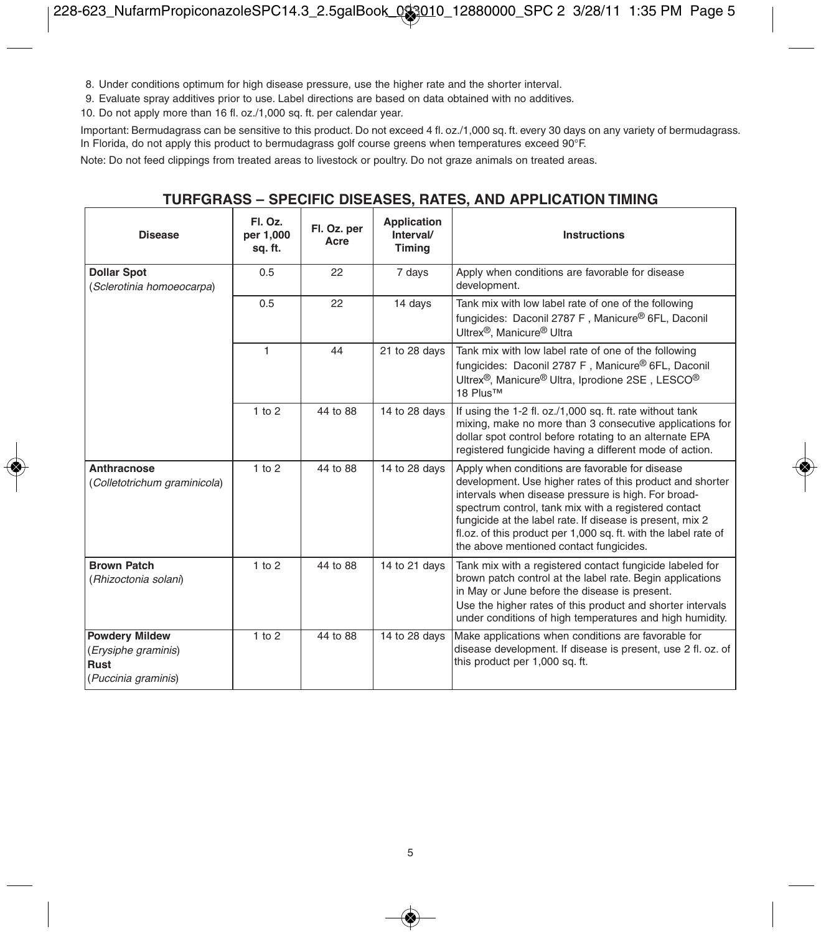8. Under conditions optimum for high disease pressure, use the higher rate and the shorter interval.

9. Evaluate spray additives prior to use. Label directions are based on data obtained with no additives.

10. Do not apply more than 16 fl. oz./1,000 sq. ft. per calendar year.

Important: Bermudagrass can be sensitive to this product. Do not exceed 4 fl. oz./1,000 sq. ft. every 30 days on any variety of bermudagrass. In Florida, do not apply this product to bermudagrass golf course greens when temperatures exceed 90°F.

Note: Do not feed clippings from treated areas to livestock or poultry. Do not graze animals on treated areas.

# **TURFGRASS – SPECIFIC DISEASES, RATES, AND APPLICATION TIMING**

| <b>Disease</b>                                                              | Fl. Oz.<br>per 1.000<br>sq. ft. | Fl. Oz. per<br>Acre | Application<br>Interval/<br>Timing | <b>Instructions</b>                                                                                                                                                                                                                                                                                                                                                                                    |
|-----------------------------------------------------------------------------|---------------------------------|---------------------|------------------------------------|--------------------------------------------------------------------------------------------------------------------------------------------------------------------------------------------------------------------------------------------------------------------------------------------------------------------------------------------------------------------------------------------------------|
| <b>Dollar Spot</b><br>(Sclerotinia homoeocarpa)                             | 0.5                             | 22                  | 7 days                             | Apply when conditions are favorable for disease<br>development.                                                                                                                                                                                                                                                                                                                                        |
|                                                                             | 0.5                             | 22                  | 14 days                            | Tank mix with low label rate of one of the following<br>fungicides: Daconil 2787 F, Manicure <sup>®</sup> 6FL, Daconil<br>Ultrex <sup>®</sup> . Manicure <sup>®</sup> Ultra                                                                                                                                                                                                                            |
|                                                                             | $\mathbf{1}$                    | 44                  | 21 to 28 days                      | Tank mix with low label rate of one of the following<br>fungicides: Daconil 2787 F, Manicure® 6FL, Daconil<br>Ultrex <sup>®</sup> , Manicure <sup>®</sup> Ultra, Iprodione 2SE, LESCO <sup>®</sup><br>18 Plus™                                                                                                                                                                                         |
|                                                                             | 1 to 2                          | 44 to 88            | 14 to 28 days                      | If using the 1-2 fl. oz./1,000 sq. ft. rate without tank<br>mixing, make no more than 3 consecutive applications for<br>dollar spot control before rotating to an alternate EPA<br>registered fungicide having a different mode of action.                                                                                                                                                             |
| Anthracnose<br>(Colletotrichum graminicola)                                 | 1 to 2                          | 44 to 88            | 14 to 28 days                      | Apply when conditions are favorable for disease<br>development. Use higher rates of this product and shorter<br>intervals when disease pressure is high. For broad-<br>spectrum control, tank mix with a registered contact<br>fungicide at the label rate. If disease is present, mix 2<br>fl.oz. of this product per 1,000 sq. ft. with the label rate of<br>the above mentioned contact fungicides. |
| <b>Brown Patch</b><br>(Rhizoctonia solani)                                  | 1 to 2                          | 44 to 88            | 14 to 21 days                      | Tank mix with a registered contact fungicide labeled for<br>brown patch control at the label rate. Begin applications<br>in May or June before the disease is present.<br>Use the higher rates of this product and shorter intervals<br>under conditions of high temperatures and high humidity.                                                                                                       |
| <b>Powdery Mildew</b><br>(Erysiphe graminis)<br>Rust<br>(Puccinia graminis) | 1 to 2                          | 44 to 88            | 14 to 28 days                      | Make applications when conditions are favorable for<br>disease development. If disease is present, use 2 fl. oz. of<br>this product per 1,000 sq. ft.                                                                                                                                                                                                                                                  |

◈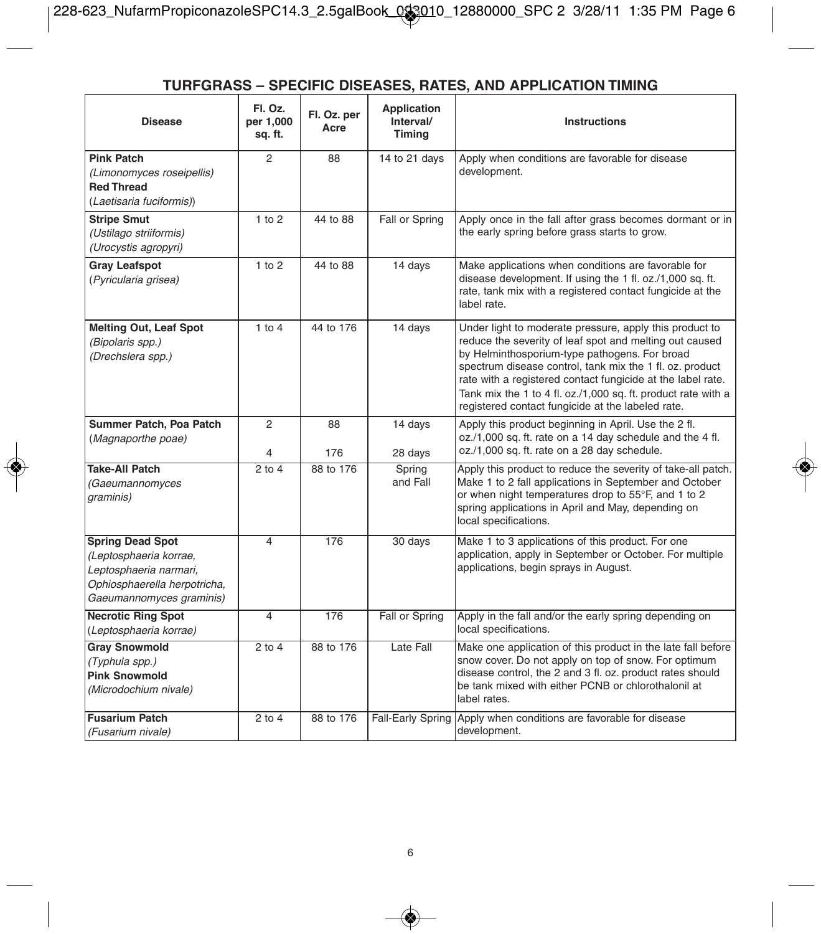# **TURFGRASS – SPECIFIC DISEASES, RATES, AND APPLICATION TIMING**

| <b>Disease</b>                                                                                                                          | Fl. Oz.<br>per 1,000<br>sq. ft. | Fl. Oz. per<br>Acre | Application<br>Interval/<br>Timina | Instructions                                                                                                                                                                                                                                                                                                                                                                                                         |
|-----------------------------------------------------------------------------------------------------------------------------------------|---------------------------------|---------------------|------------------------------------|----------------------------------------------------------------------------------------------------------------------------------------------------------------------------------------------------------------------------------------------------------------------------------------------------------------------------------------------------------------------------------------------------------------------|
| <b>Pink Patch</b><br>(Limonomyces roseipellis)<br><b>Red Thread</b><br>(Laetisaria fuciformis))                                         | $\overline{a}$                  | 88                  | 14 to 21 days                      | Apply when conditions are favorable for disease<br>development.                                                                                                                                                                                                                                                                                                                                                      |
| <b>Stripe Smut</b><br>(Ustilago striiformis)<br>(Urocystis agropyri)                                                                    | 1 to 2                          | 44 to 88            | Fall or Spring                     | Apply once in the fall after grass becomes dormant or in<br>the early spring before grass starts to grow.                                                                                                                                                                                                                                                                                                            |
| <b>Gray Leafspot</b><br>(Pyricularia grisea)                                                                                            | 1 to 2                          | 44 to 88            | 14 days                            | Make applications when conditions are favorable for<br>disease development. If using the 1 fl. oz./1,000 sq. ft.<br>rate, tank mix with a registered contact fungicide at the<br>label rate.                                                                                                                                                                                                                         |
| <b>Melting Out, Leaf Spot</b><br>(Bipolaris spp.)<br>(Drechslera spp.)                                                                  | $1$ to $4$                      | 44 to 176           | 14 days                            | Under light to moderate pressure, apply this product to<br>reduce the severity of leaf spot and melting out caused<br>by Helminthosporium-type pathogens. For broad<br>spectrum disease control, tank mix the 1 fl. oz. product<br>rate with a registered contact fungicide at the label rate.<br>Tank mix the 1 to 4 fl. oz./1,000 sq. ft. product rate with a<br>registered contact fungicide at the labeled rate. |
| Summer Patch, Poa Patch<br>(Magnaporthe poae)                                                                                           | 2<br>4                          | 88<br>176           | 14 days<br>28 days                 | Apply this product beginning in April. Use the 2 fl.<br>oz./1,000 sq. ft. rate on a 14 day schedule and the 4 fl.<br>oz./1,000 sq. ft. rate on a 28 day schedule.                                                                                                                                                                                                                                                    |
| <b>Take-All Patch</b><br>(Gaeumannomyces<br>graminis)                                                                                   | $2$ to $4$                      | 88 to 176           | Spring<br>and Fall                 | Apply this product to reduce the severity of take-all patch.<br>Make 1 to 2 fall applications in September and October<br>or when night temperatures drop to 55°F, and 1 to 2<br>spring applications in April and May, depending on<br>local specifications.                                                                                                                                                         |
| <b>Spring Dead Spot</b><br>(Leptosphaeria korrae,<br>Leptosphaeria narmari,<br>Ophiosphaerella herpotricha,<br>Gaeumannomyces graminis) | $\overline{4}$                  | 176                 | 30 days                            | Make 1 to 3 applications of this product. For one<br>application, apply in September or October. For multiple<br>applications, begin sprays in August.                                                                                                                                                                                                                                                               |
| <b>Necrotic Ring Spot</b><br>(Leptosphaeria korrae)                                                                                     | 4                               | 176                 | Fall or Spring                     | Apply in the fall and/or the early spring depending on<br>local specifications.                                                                                                                                                                                                                                                                                                                                      |
| <b>Gray Snowmold</b><br>(Typhula spp.)<br><b>Pink Snowmold</b><br>(Microdochium nivale)                                                 | $2$ to $4$                      | 88 to 176           | Late Fall                          | Make one application of this product in the late fall before<br>snow cover. Do not apply on top of snow. For optimum<br>disease control, the 2 and 3 fl. oz. product rates should<br>be tank mixed with either PCNB or chlorothalonil at<br>label rates.                                                                                                                                                             |
| <b>Fusarium Patch</b><br>(Fusarium nivale)                                                                                              | $2$ to $4$                      | 88 to 176           | Fall-Early Spring                  | Apply when conditions are favorable for disease<br>development.                                                                                                                                                                                                                                                                                                                                                      |

◈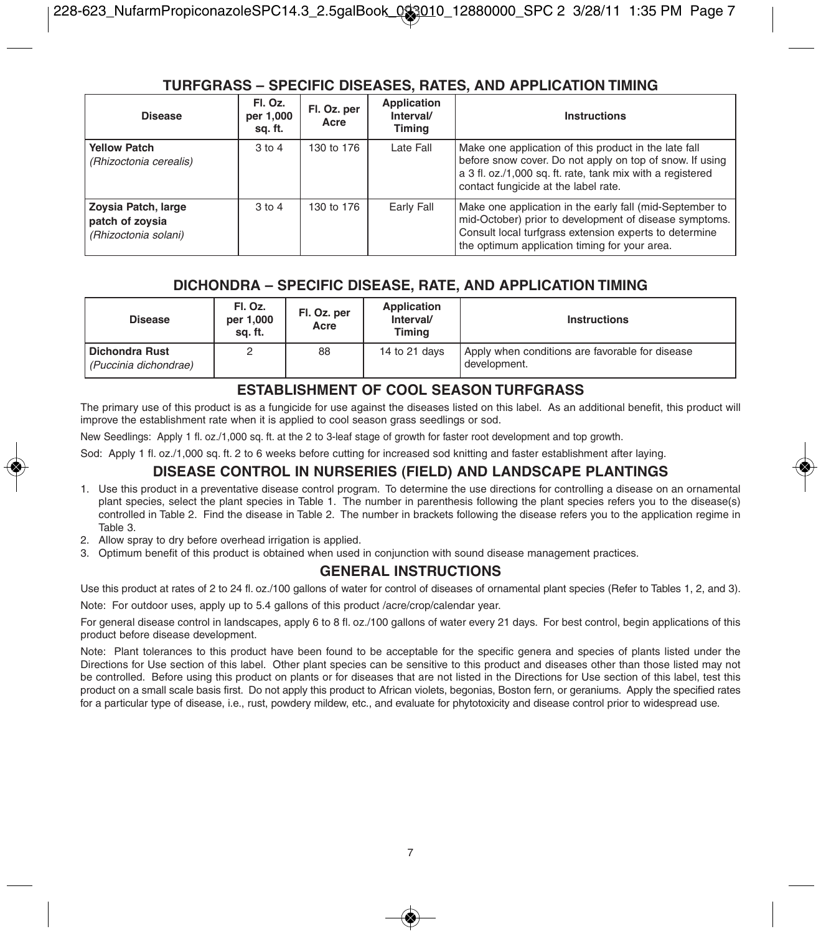# **TURFGRASS – SPECIFIC DISEASES, RATES, AND APPLICATION TIMING**

| <b>Disease</b>                                                        | Fl. Oz.<br>per 1,000<br>sq. ft. | Fl. Oz. per<br>Acre | Application<br>Interval/<br>Timina | <b>Instructions</b>                                                                                                                                                                                                           |
|-----------------------------------------------------------------------|---------------------------------|---------------------|------------------------------------|-------------------------------------------------------------------------------------------------------------------------------------------------------------------------------------------------------------------------------|
| <b>Yellow Patch</b><br>(Rhizoctonia cerealis)                         | $3$ to $4$                      | 130 to 176          | Late Fall                          | Make one application of this product in the late fall<br>before snow cover. Do not apply on top of snow. If using<br>a 3 fl. oz./1,000 sq. ft. rate, tank mix with a registered<br>contact fungicide at the label rate.       |
| <b>Zoysia Patch, large</b><br>patch of zoysia<br>(Rhizoctonia solani) | $3$ to $4$                      | 130 to 176          | Early Fall                         | Make one application in the early fall (mid-September to<br>mid-October) prior to development of disease symptoms.<br>Consult local turfgrass extension experts to determine<br>the optimum application timing for your area. |

# **DICHONDRA – SPECIFIC DISEASE, RATE, AND APPLICATION TIMING**

| <b>Disease</b>                          | Fl. Oz.<br>per 1,000<br>sa. ft. | Fl. Oz. per<br>Acre | Application<br>Interval/<br>Timina | Instructions                                                    |
|-----------------------------------------|---------------------------------|---------------------|------------------------------------|-----------------------------------------------------------------|
| Dichondra Rust<br>(Puccinia dichondrae) |                                 | 88                  | 14 to 21 days                      | Apply when conditions are favorable for disease<br>development. |

# **ESTABLISHMENT OF COOL SEASON TURFGRASS**

The primary use of this product is as a fungicide for use against the diseases listed on this label. As an additional benefit, this product will improve the establishment rate when it is applied to cool season grass seedlings or sod.

New Seedlings: Apply 1 fl. oz./1,000 sq. ft. at the 2 to 3-leaf stage of growth for faster root development and top growth.

Sod: Apply 1 fl. oz./1,000 sq. ft. 2 to 6 weeks before cutting for increased sod knitting and faster establishment after laying.

# **DISEASE CONTROL IN NURSERIES (FIELD) AND LANDSCAPE PLANTINGS**

- 1. Use this product in a preventative disease control program. To determine the use directions for controlling a disease on an ornamental plant species, select the plant species in Table 1. The number in parenthesis following the plant species refers you to the disease(s) controlled in Table 2. Find the disease in Table 2. The number in brackets following the disease refers you to the application regime in Table 3.
- 2. Allow spray to dry before overhead irrigation is applied.
- 3. Optimum benefit of this product is obtained when used in conjunction with sound disease management practices.

# **GENERAL INSTRUCTIONS**

Use this product at rates of 2 to 24 fl. oz./100 gallons of water for control of diseases of ornamental plant species (Refer to Tables 1, 2, and 3).

Note: For outdoor uses, apply up to 5.4 gallons of this product /acre/crop/calendar year.

For general disease control in landscapes, apply 6 to 8 fl. oz./100 gallons of water every 21 days. For best control, begin applications of this product before disease development.

Note: Plant tolerances to this product have been found to be acceptable for the specific genera and species of plants listed under the Directions for Use section of this label. Other plant species can be sensitive to this product and diseases other than those listed may not be controlled. Before using this product on plants or for diseases that are not listed in the Directions for Use section of this label, test this product on a small scale basis first. Do not apply this product to African violets, begonias, Boston fern, or geraniums. Apply the specified rates for a particular type of disease, i.e., rust, powdery mildew, etc., and evaluate for phytotoxicity and disease control prior to widespread use.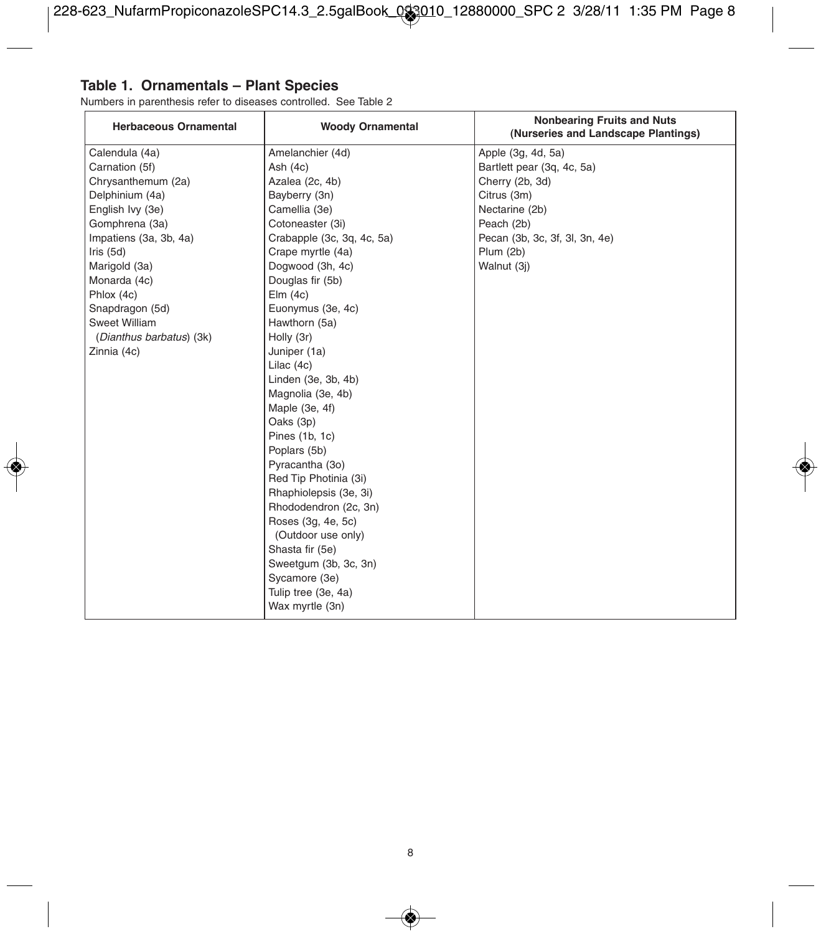# **Table 1. Ornamentals – Plant Species**

€

Numbers in parenthesis refer to diseases controlled. See Table 2

|                                                                                        | <b>Nonbearing Fruits and Nuts</b><br>(Nurseries and Landscape Plantings) |  |
|----------------------------------------------------------------------------------------|--------------------------------------------------------------------------|--|
| Amelanchier (4d)<br>Calendula (4a)<br>Apple (3g, 4d, 5a)                               |                                                                          |  |
| Carnation (5f)<br>Ash $(4c)$<br>Bartlett pear (3q, 4c, 5a)                             |                                                                          |  |
| Chrysanthemum (2a)<br>Cherry (2b, 3d)<br>Azalea (2c, 4b)                               |                                                                          |  |
| Delphinium (4a)<br>Bayberry (3n)<br>Citrus (3m)                                        |                                                                          |  |
| Nectarine (2b)<br>English Ivy (3e)<br>Camellia (3e)                                    |                                                                          |  |
| Gomphrena (3a)<br>Cotoneaster (3i)<br>Peach (2b)                                       |                                                                          |  |
| Impatiens (3a, 3b, 4a)<br>Crabapple (3c, 3q, 4c, 5a)<br>Pecan (3b, 3c, 3f, 3l, 3n, 4e) |                                                                          |  |
| lris(5d)<br>Crape myrtle (4a)<br>Plum (2b)                                             |                                                                          |  |
| Dogwood (3h, 4c)<br>Marigold (3a)<br>Walnut (3j)                                       |                                                                          |  |
| Monarda (4c)<br>Douglas fir (5b)                                                       |                                                                          |  |
| Phlox (4c)<br>Elm(4c)                                                                  |                                                                          |  |
| Euonymus (3e, 4c)<br>Snapdragon (5d)                                                   |                                                                          |  |
| Sweet William<br>Hawthorn (5a)                                                         |                                                                          |  |
| (Dianthus barbatus) (3k)<br>Holly (3r)                                                 |                                                                          |  |
| Zinnia (4c)<br>Juniper (1a)                                                            |                                                                          |  |
| Lilac (4c)                                                                             |                                                                          |  |
| Linden (3e, 3b, 4b)                                                                    |                                                                          |  |
| Magnolia (3e, 4b)                                                                      |                                                                          |  |
| Maple (3e, 4f)                                                                         |                                                                          |  |
| Oaks (3p)                                                                              |                                                                          |  |
| Pines (1b, 1c)                                                                         |                                                                          |  |
| Poplars (5b)                                                                           |                                                                          |  |
| Pyracantha (3o)                                                                        |                                                                          |  |
| Red Tip Photinia (3i)                                                                  |                                                                          |  |
| Rhaphiolepsis (3e, 3i)                                                                 |                                                                          |  |
| Rhododendron (2c, 3n)                                                                  |                                                                          |  |
| Roses (3g, 4e, 5c)                                                                     |                                                                          |  |
| (Outdoor use only)                                                                     |                                                                          |  |
| Shasta fir (5e)                                                                        |                                                                          |  |
| Sweetgum (3b, 3c, 3n)                                                                  |                                                                          |  |
| Sycamore (3e)                                                                          |                                                                          |  |
| Tulip tree (3e, 4a)                                                                    |                                                                          |  |
| Wax myrtle (3n)                                                                        |                                                                          |  |

◈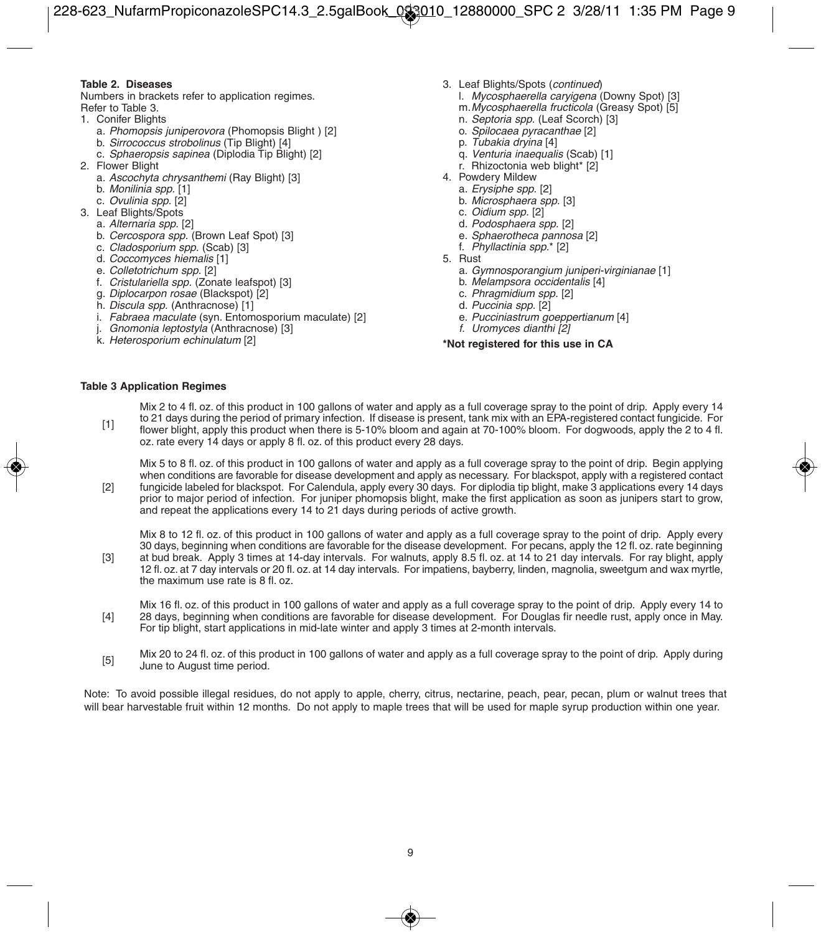#### **Table 2. Diseases**

Numbers in brackets refer to application regimes. Refer to Table 3.

- 1. Conifer Blights
	- a. Phomopsis juniperovora (Phomopsis Blight) [2]
	- b. Sirrococcus strobolinus (Tip Blight) [4]
	- c. Sphaeropsis sapinea (Diplodia Tip Blight) [2]
- 2. Flower Blight
	- a. Ascochyta chrysanthemi (Ray Blight) [3]
	- b. Monilinia spp. [1]
	- c. Ovulinia spp. [2]
- 3. Leaf Blights/Spots
	- a. Alternaria spp. [2]
	- b. Cercospora spp. (Brown Leaf Spot) [3]
	- c. Cladosporium spp. (Scab) [3]
	- d. Coccomyces hiemalis [1]
	- e. Colletotrichum spp. [2]
	- f. Cristulariella spp. (Zonate leafspot) [3]
	- g. *Diplocarpon rosae* (Blackspot) [2]<br>h. *Discula spp.* (Anthracnose) [1]
	-
	- i. Fabraea maculate (syn. Entomosporium maculate) [2]
	- Gnomonia leptostyla (Anthracnose) [3]
	- k. Heterosporium echinulatum [2]
- 3. Leaf Blights/Spots (continued)
	- l. Mycosphaerella caryigena (Downy Spot) [3]
	- m.Mycosphaerella fructicola (Greasy Spot) [5]
	- n. Septoria spp. (Leaf Scorch) [3]
	- o. Spilocaea pyracanthae [2]
	- p. Tubakia dryina [4]
	- q. Venturia inaequalis (Scab) [1]
	- r. Rhizoctonia web blight\* [2]
- 4. Powdery Mildew
	- a. Erysiphe spp. [2]
	- b. Microsphaera spp. [3]
	- c. Oidium spp. [2]
	- d. Podosphaera spp. [2]
	- e. Sphaerotheca pannosa [2]
	- f. Phyllactinia spp.\* [2]
- 5. Rust
	- a. Gymnosporangium juniperi-virginianae [1]
	- b. Melampsora occidentalis [4]
	- c. Phragmidium spp. [2] d. Puccinia spp. [2]
	-
	- e. Pucciniastrum goeppertianum [4]
	- f. Uromyces dianthi [2]

#### **\*Not registered for this use in CA**

#### **Table 3 Application Regimes**

[1] Mix 2 to 4 fl. oz. of this product in 100 gallons of water and apply as a full coverage spray to the point of drip. Apply every 14 to 21 days during the period of primary infection. If disease is present, tank mix with an EPA-registered contact fungicide. For flower blight, apply this product when there is 5-10% bloom and again at 70-100% bloom. For dogwoods, apply the 2 to 4 fl. oz. rate every 14 days or apply 8 fl. oz. of this product every 28 days.

[2] Mix 5 to 8 fl. oz. of this product in 100 gallons of water and apply as a full coverage spray to the point of drip. Begin applying when conditions are favorable for disease development and apply as necessary. For blackspot, apply with a registered contact fungicide labeled for blackspot. For Calendula, apply every 30 days. For diplodia tip blight, make 3 applications every 14 days prior to major period of infection. For juniper phomopsis blight, make the first application as soon as junipers start to grow, and repeat the applications every 14 to 21 days during periods of active growth.

Mix 8 to 12 fl. oz. of this product in 100 gallons of water and apply as a full coverage spray to the point of drip. Apply every 30 days, beginning when conditions are favorable for the disease development. For pecans, apply the 12 fl. oz. rate beginning

[3] at bud break. Apply 3 times at 14-day intervals. For walnuts, apply 8.5 fl. oz. at 14 to 21 day intervals. For ray blight, apply 12 fl. oz. at 7 day intervals or 20 fl. oz. at 14 day intervals. For impatiens, bayberry, linden, magnolia, sweetgum and wax myrtle, the maximum use rate is 8 fl. oz.

[4] Mix 16 fl. oz. of this product in 100 gallons of water and apply as a full coverage spray to the point of drip. Apply every 14 to 28 days, beginning when conditions are favorable for disease development. For Douglas fir needle rust, apply once in May. For tip blight, start applications in mid-late winter and apply 3 times at 2-month intervals.

[5] Mix 20 to 24 fl. oz. of this product in 100 gallons of water and apply as a full coverage spray to the point of drip. Apply during June to August time period.

Note: To avoid possible illegal residues, do not apply to apple, cherry, citrus, nectarine, peach, pear, pecan, plum or walnut trees that will bear harvestable fruit within 12 months. Do not apply to maple trees that will be used for maple syrup production within one year.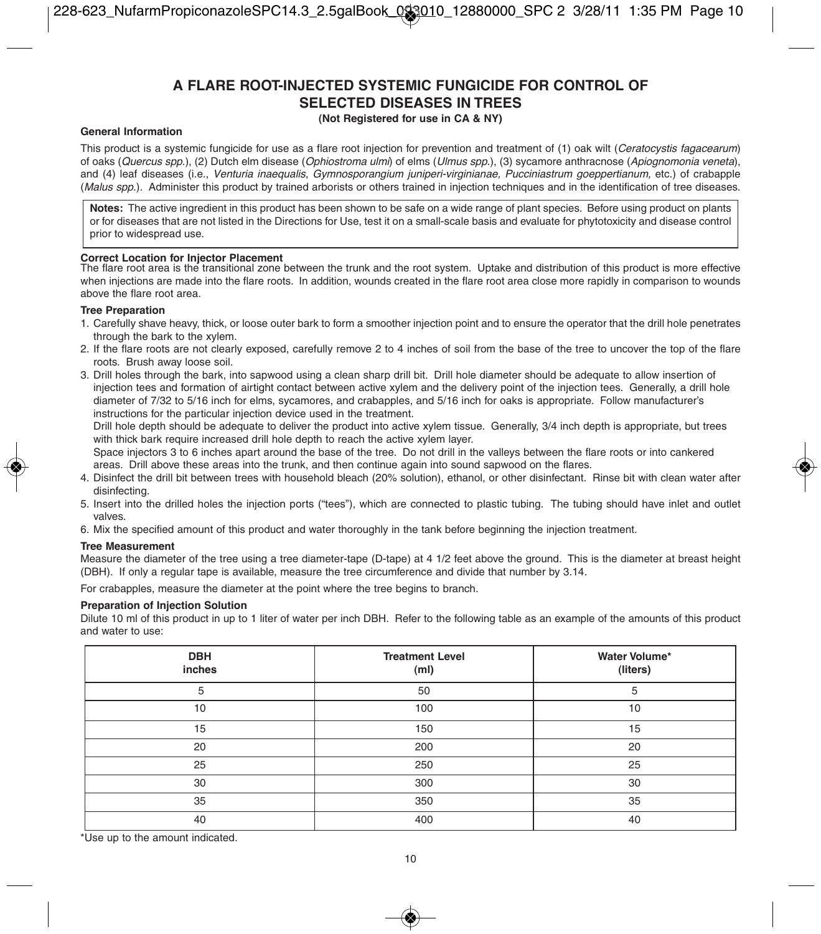# **A FLARE ROOT-INJECTED SYSTEMIC FUNGICIDE FOR CONTROL OF SELECTED DISEASES IN TREES**

#### **(Not Registered for use in CA & NY)**

#### **General Information**

This product is a systemic fungicide for use as a flare root injection for prevention and treatment of (1) oak wilt (Ceratocystis fagacearum) of oaks (Quercus spp.), (2) Dutch elm disease (Ophiostroma ulmi) of elms (Ulmus spp.), (3) sycamore anthracnose (Apiognomonia veneta), and (4) leaf diseases (i.e., Venturia inaequalis, Gymnosporangium juniperi-virginianae, Pucciniastrum goeppertianum, etc.) of crabapple (Malus spp.). Administer this product by trained arborists or others trained in injection techniques and in the identification of tree diseases.

Notes: The active ingredient in this product has been shown to be safe on a wide range of plant species. Before using product on plants or for diseases that are not listed in the Directions for Use, test it on a small-scale basis and evaluate for phytotoxicity and disease control prior to widespread use.

#### **Correct Location for Injector Placement**

The flare root area is the transitional zone between the trunk and the root system. Uptake and distribution of this product is more effective when injections are made into the flare roots. In addition, wounds created in the flare root area close more rapidly in comparison to wounds above the flare root area.

#### **Tree Preparation**

- 1. Carefully shave heavy, thick, or loose outer bark to form a smoother injection point and to ensure the operator that the drill hole penetrates through the bark to the xylem.
- 2. If the flare roots are not clearly exposed, carefully remove 2 to 4 inches of soil from the base of the tree to uncover the top of the flare roots. Brush away loose soil.
- 3. Drill holes through the bark, into sapwood using a clean sharp drill bit. Drill hole diameter should be adequate to allow insertion of injection tees and formation of airtight contact between active xylem and the delivery point of the injection tees. Generally, a drill hole diameter of 7/32 to 5/16 inch for elms, sycamores, and crabapples, and 5/16 inch for oaks is appropriate. Follow manufacturer's instructions for the particular injection device used in the treatment.

Drill hole depth should be adequate to deliver the product into active xylem tissue. Generally, 3/4 inch depth is appropriate, but trees with thick bark require increased drill hole depth to reach the active xylem layer.

Space injectors 3 to 6 inches apart around the base of the tree. Do not drill in the valleys between the flare roots or into cankered areas. Drill above these areas into the trunk, and then continue again into sound sapwood on the flares.

- 4. Disinfect the drill bit between trees with household bleach (20% solution), ethanol, or other disinfectant. Rinse bit with clean water after disinfecting.
- 5. Insert into the drilled holes the injection ports ("tees"), which are connected to plastic tubing. The tubing should have inlet and outlet valves.
- 6. Mix the specified amount of this product and water thoroughly in the tank before beginning the injection treatment.

#### **Tree Measurement**

Measure the diameter of the tree using a tree diameter-tape (D-tape) at 4 1/2 feet above the ground. This is the diameter at breast height (DBH). If only a regular tape is available, measure the tree circumference and divide that number by 3.14.

For crabapples, measure the diameter at the point where the tree begins to branch.

#### **Preparation of Injection Solution**

Dilute 10 ml of this product in up to 1 liter of water per inch DBH. Refer to the following table as an example of the amounts of this product and water to use:

| <b>DBH</b><br>inches | <b>Treatment Level</b><br>(m <sub>l</sub> ) | Water Volume*<br>(liters) |
|----------------------|---------------------------------------------|---------------------------|
| 5                    | 50                                          | 5                         |
| 10                   | 100                                         | 10                        |
| 15                   | 150                                         | 15                        |
| 20                   | 200                                         | 20                        |
| 25                   | 250                                         | 25                        |
| 30                   | 300                                         | 30                        |
| 35                   | 350                                         | 35                        |
| 40                   | 400                                         | 40                        |

\*Use up to the amount indicated.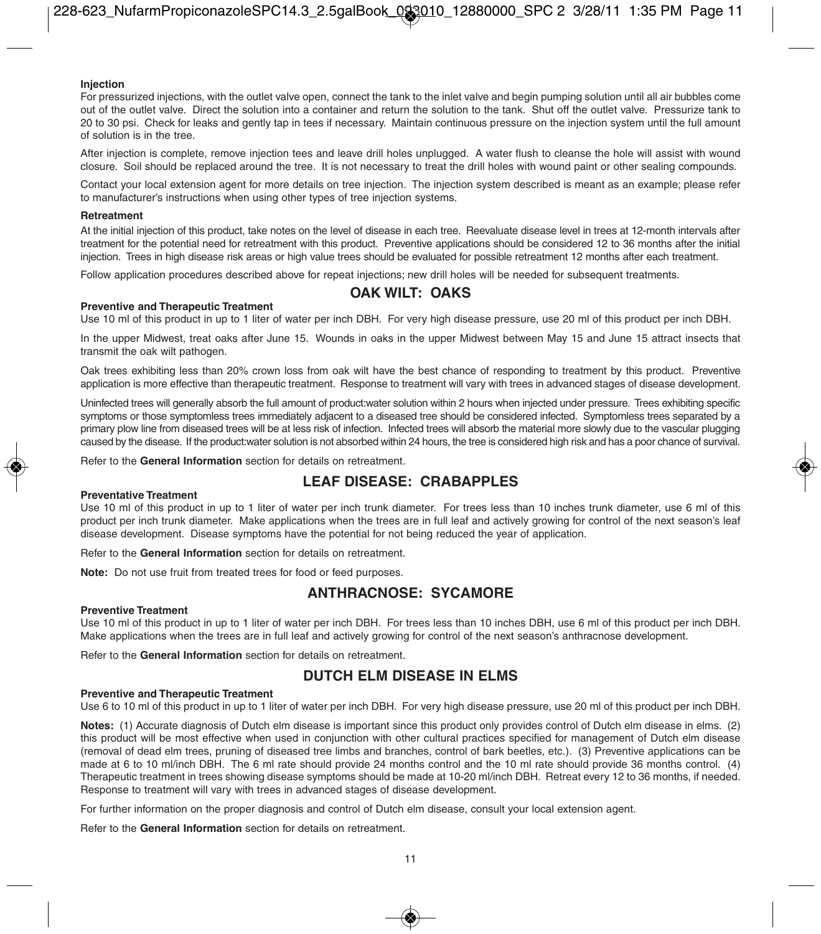#### **Injection**

For pressurized injections, with the outlet valve open, connect the tank to the inlet valve and begin pumping solution until all air bubbles come out of the outlet valve. Direct the solution into a container and return the solution to the tank. Shut off the outlet valve. Pressurize tank to 20 to 30 psi. Check for leaks and gently tap in tees if necessary. Maintain continuous pressure on the injection system until the full amount of solution is in the tree.

After injection is complete, remove injection tees and leave drill holes unplugged. A water flush to cleanse the hole will assist with wound closure. Soil should be replaced around the tree. It is not necessary to treat the drill holes with wound paint or other sealing compounds.

Contact your local extension agent for more details on tree injection. The injection system described is meant as an example; please refer to manufacturer's instructions when using other types of tree injection systems.

#### **Retreatment**

At the initial injection of this product, take notes on the level of disease in each tree. Reevaluate disease level in trees at 12-month intervals after treatment for the potential need for retreatment with this product. Preventive applications should be considered 12 to 36 months after the initial injection. Trees in high disease risk areas or high value trees should be evaluated for possible retreatment 12 months after each treatment.

Follow application procedures described above for repeat injections; new drill holes will be needed for subsequent treatments.

# **OAK WILT: OAKS**

#### **Preventive and Therapeutic Treatment**

Use 10 ml of this product in up to 1 liter of water per inch DBH. For very high disease pressure, use 20 ml of this product per inch DBH.

In the upper Midwest, treat oaks after June 15. Wounds in oaks in the upper Midwest between May 15 and June 15 attract insects that transmit the oak wilt pathogen.

Oak trees exhibiting less than 20% crown loss from oak wilt have the best chance of responding to treatment by this product. Preventive application is more effective than therapeutic treatment. Response to treatment will vary with trees in advanced stages of disease development.

Uninfected trees will generally absorb the full amount of product:water solution within 2 hours when injected under pressure. Trees exhibiting specific symptoms or those symptomless trees immediately adjacent to a diseased tree should be considered infected. Symptomless trees separated by a primary plow line from diseased trees will be at less risk of infection. Infected trees will absorb the material more slowly due to the vascular plugging caused by the disease. If the product:water solution is not absorbed within 24 hours, the tree is considered high risk and has a poor chance of survival.

Refer to the **General Information** section for details on retreatment.

# **LEAF DISEASE: CRABAPPLES**

#### **Preventative Treatment**

Use 10 ml of this product in up to 1 liter of water per inch trunk diameter. For trees less than 10 inches trunk diameter, use 6 ml of this product per inch trunk diameter. Make applications when the trees are in full leaf and actively growing for control of the next season's leaf disease development. Disease symptoms have the potential for not being reduced the year of application.

Refer to the **General Information** section for details on retreatment.

**Note:** Do not use fruit from treated trees for food or feed purposes.

# **ANTHRACNOSE: SYCAMORE**

#### **Preventive Treatment**

Use 10 ml of this product in up to 1 liter of water per inch DBH. For trees less than 10 inches DBH, use 6 ml of this product per inch DBH. Make applications when the trees are in full leaf and actively growing for control of the next season's anthracnose development.

Refer to the **General Information** section for details on retreatment.

# **DUTCH ELM DISEASE IN ELMS**

#### **Preventive and Therapeutic Treatment**

Use 6 to 10 ml of this product in up to 1 liter of water per inch DBH. For very high disease pressure, use 20 ml of this product per inch DBH.

**Notes:** (1) Accurate diagnosis of Dutch elm disease is important since this product only provides control of Dutch elm disease in elms. (2) this product will be most effective when used in conjunction with other cultural practices specified for management of Dutch elm disease (removal of dead elm trees, pruning of diseased tree limbs and branches, control of bark beetles, etc.). (3) Preventive applications can be made at 6 to 10 ml/inch DBH. The 6 ml rate should provide 24 months control and the 10 ml rate should provide 36 months control. (4) Therapeutic treatment in trees showing disease symptoms should be made at 10-20 ml/inch DBH. Retreat every 12 to 36 months, if needed. Response to treatment will vary with trees in advanced stages of disease development.

For further information on the proper diagnosis and control of Dutch elm disease, consult your local extension agent.

Refer to the **General Information** section for details on retreatment.